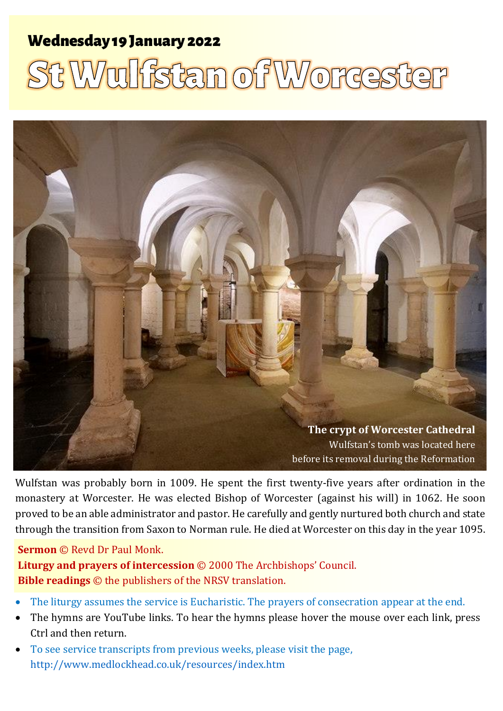### wednesday 19 January 2022 1 St Wulfstan of Worcester Worcester Company of Worcester Company of Worcester Compa

# <u>St Wulfstan of Worcester</u>



Wulfstan was probably born in 1009. He spent the first twenty-five years after ordination in the monastery at Worcester. He was elected Bishop of Worcester (against his will) in 1062. He soon proved to be an able administrator and pastor. He carefully and gently nurtured both church and state through the transition from Saxon to Norman rule. He died at Worcester on this day in the year 1095.

#### **Sermon** © Revd Dr Paul Monk.

**Liturgy and prayers of intercession** © 2000 The Archbishops' Council. **Bible readings** © the publishers of the NRSV translation.

- The liturgy assumes the service is Eucharistic. The prayers of consecration appear at the end.
- The hymns are YouTube links. To hear the hymns please hover the mouse over each link, press Ctrl and then return.
- To see service transcripts from previous weeks, please visit the page, <http://www.medlockhead.co.uk/resources/index.htm>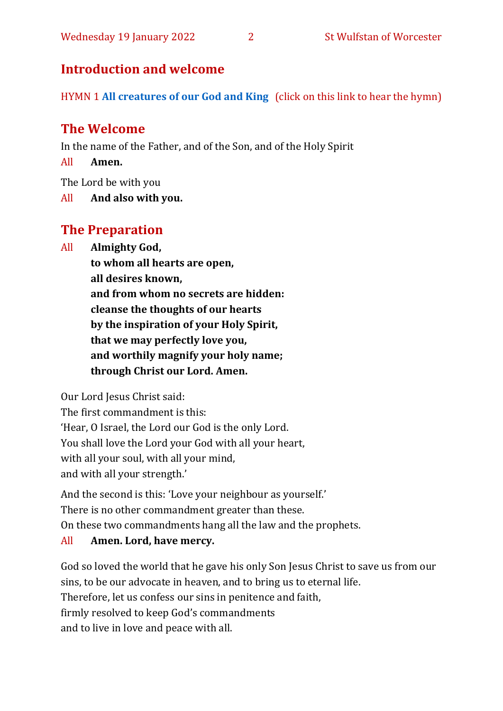#### **Introduction and welcome**

HYMN 1 **[All creatures of our God and King](https://www.youtube.com/watch?v=8CS-oOC_AAY)** (click on this link to hear the hymn)

#### **The Welcome**

In the name of the Father, and of the Son, and of the Holy Spirit

All **Amen.**

The Lord be with you

All **And also with you.**

#### **The Preparation**

All **Almighty God,**

**to whom all hearts are open, all desires known, and from whom no secrets are hidden: cleanse the thoughts of our hearts by the inspiration of your Holy Spirit, that we may perfectly love you, and worthily magnify your holy name; through Christ our Lord. Amen.**

Our Lord Jesus Christ said:

The first commandment is this: 'Hear, O Israel, the Lord our God is the only Lord. You shall love the Lord your God with all your heart, with all your soul, with all your mind, and with all your strength.'

And the second is this: 'Love your neighbour as yourself.' There is no other commandment greater than these. On these two commandments hang all the law and the prophets.

#### All **Amen. Lord, have mercy.**

God so loved the world that he gave his only Son Jesus Christ to save us from our sins, to be our advocate in heaven, and to bring us to eternal life. Therefore, let us confess our sins in penitence and faith, firmly resolved to keep God's commandments and to live in love and peace with all.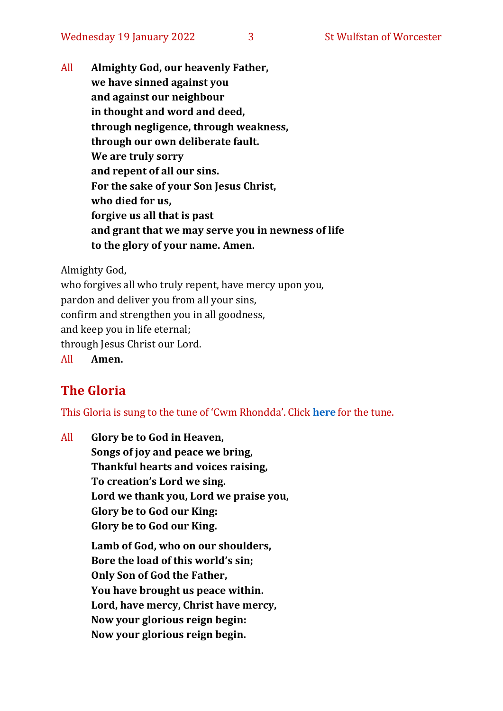All **Almighty God, our heavenly Father, we have sinned against you and against our neighbour in thought and word and deed, through negligence, through weakness, through our own deliberate fault. We are truly sorry and repent of all our sins. For the sake of your Son Jesus Christ, who died for us, forgive us all that is past and grant that we may serve you in newness of life to the glory of your name. Amen.**

Almighty God,

who forgives all who truly repent, have mercy upon you, pardon and deliver you from all your sins, confirm and strengthen you in all goodness, and keep you in life eternal; through Jesus Christ our Lord. All **Amen.**

#### **The Gloria**

This Gloria is sung to the tune of 'Cwm Rhondda'. Click **[here](about:blank)** for the tune.

All **Glory be to God in Heaven, Songs of joy and peace we bring, Thankful hearts and voices raising, To creation's Lord we sing. Lord we thank you, Lord we praise you, Glory be to God our King: Glory be to God our King.**

> **Lamb of God, who on our shoulders, Bore the load of this world's sin; Only Son of God the Father, You have brought us peace within. Lord, have mercy, Christ have mercy, Now your glorious reign begin: Now your glorious reign begin.**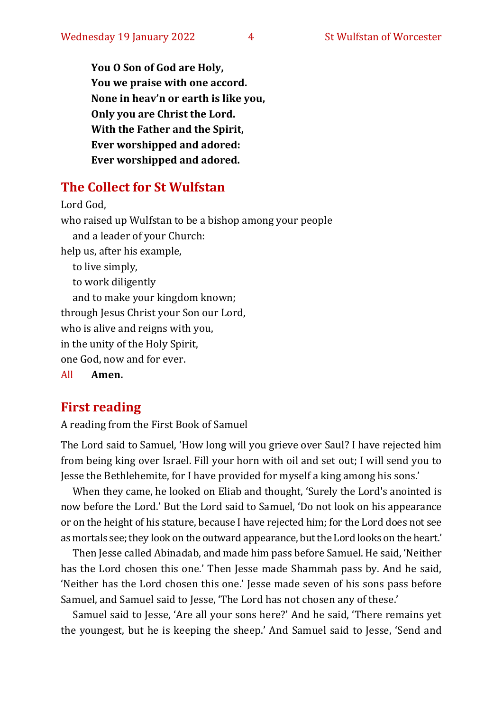**You O Son of God are Holy, You we praise with one accord. None in heav'n or earth is like you, Only you are Christ the Lord. With the Father and the Spirit, Ever worshipped and adored: Ever worshipped and adored.**

#### **The Collect for St Wulfstan**

Lord God, who raised up Wulfstan to be a bishop among your people and a leader of your Church: help us, after his example, to live simply, to work diligently and to make your kingdom known; through Jesus Christ your Son our Lord, who is alive and reigns with you, in the unity of the Holy Spirit, one God, now and for ever. All **Amen.**

#### **First reading**

A reading from the First Book of Samuel

The Lord said to Samuel, 'How long will you grieve over Saul? I have rejected him from being king over Israel. Fill your horn with oil and set out; I will send you to Jesse the Bethlehemite, for I have provided for myself a king among his sons.'

When they came, he looked on Eliab and thought, 'Surely the Lord's anointed is now before the Lord.' But the Lord said to Samuel, 'Do not look on his appearance or on the height of his stature, because I have rejected him; for the Lord does not see as mortals see; they look on the outward appearance, but the Lord looks on the heart.'

Then Jesse called Abinadab, and made him pass before Samuel. He said, 'Neither has the Lord chosen this one.' Then Jesse made Shammah pass by. And he said, 'Neither has the Lord chosen this one.' Jesse made seven of his sons pass before Samuel, and Samuel said to Jesse, 'The Lord has not chosen any of these.'

Samuel said to Jesse, 'Are all your sons here?' And he said, 'There remains yet the youngest, but he is keeping the sheep.' And Samuel said to Jesse, 'Send and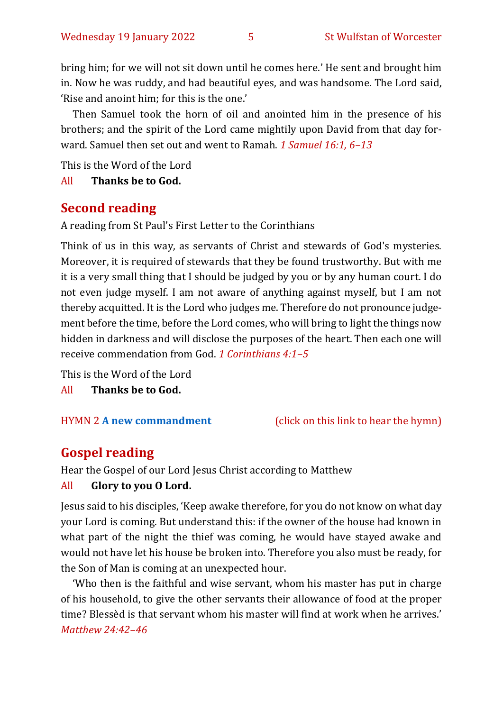bring him; for we will not sit down until he comes here.' He sent and brought him in. Now he was ruddy, and had beautiful eyes, and was handsome. The Lord said, 'Rise and anoint him; for this is the one.'

Then Samuel took the horn of oil and anointed him in the presence of his brothers; and the spirit of the Lord came mightily upon David from that day forward. Samuel then set out and went to Ramah. *1 Samuel 16:1, 6–13*

This is the Word of the Lord

All **Thanks be to God.**

### **Second reading**

A reading from St Paul's First Letter to the Corinthians

Think of us in this way, as servants of Christ and stewards of God's mysteries. Moreover, it is required of stewards that they be found trustworthy. But with me it is a very small thing that I should be judged by you or by any human court. I do not even judge myself. I am not aware of anything against myself, but I am not thereby acquitted. It is the Lord who judges me. Therefore do not pronounce judgement before the time, before the Lord comes, who will bring to light the things now hidden in darkness and will disclose the purposes of the heart. Then each one will receive commendation from God. *1 Corinthians 4:1–5*

This is the Word of the Lord

All **Thanks be to God.**

#### HYMN 2 **[A new commandment](https://www.youtube.com/watch?v=_0A5T9sD8Ug)** (click on this link to hear the hymn)

### **Gospel reading**

Hear the Gospel of our Lord Jesus Christ according to Matthew All **Glory to you O Lord.**

Jesus said to his disciples, 'Keep awake therefore, for you do not know on what day your Lord is coming. But understand this: if the owner of the house had known in what part of the night the thief was coming, he would have stayed awake and would not have let his house be broken into. Therefore you also must be ready, for the Son of Man is coming at an unexpected hour.

'Who then is the faithful and wise servant, whom his master has put in charge of his household, to give the other servants their allowance of food at the proper time? Blessèd is that servant whom his master will find at work when he arrives.' *Matthew 24:42–46*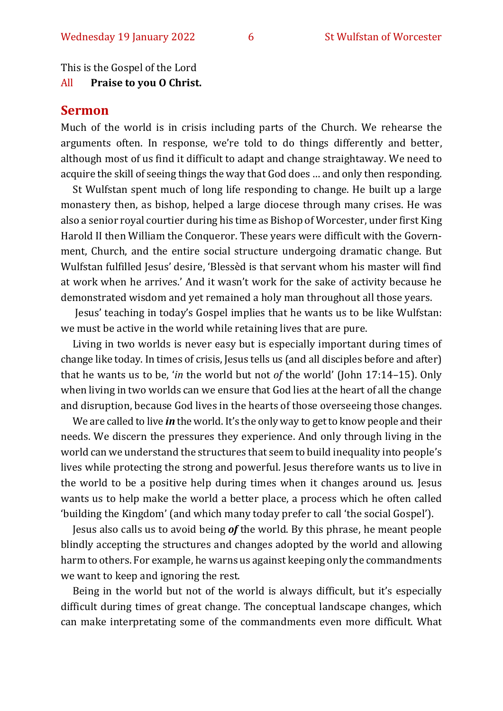This is the Gospel of the Lord

All **Praise to you O Christ.** 

#### **Sermon**

Much of the world is in crisis including parts of the Church. We rehearse the arguments often. In response, we're told to do things differently and better, although most of us find it difficult to adapt and change straightaway. We need to acquire the skill of seeing things the way that God does … and only then responding.

St Wulfstan spent much of long life responding to change. He built up a large monastery then, as bishop, helped a large diocese through many crises. He was also a senior royal courtier during his time as Bishop of Worcester, under first King Harold II then William the Conqueror. These years were difficult with the Government, Church, and the entire social structure undergoing dramatic change. But Wulfstan fulfilled Jesus' desire, 'Blessèd is that servant whom his master will find at work when he arrives.' And it wasn't work for the sake of activity because he demonstrated wisdom and yet remained a holy man throughout all those years.

Jesus' teaching in today's Gospel implies that he wants us to be like Wulfstan: we must be active in the world while retaining lives that are pure.

Living in two worlds is never easy but is especially important during times of change like today. In times of crisis, Jesus tells us (and all disciples before and after) that he wants us to be, '*in* the world but not *of* the world' (John 17:14–15). Only when living in two worlds can we ensure that God lies at the heart of all the change and disruption, because God lives in the hearts of those overseeing those changes.

We are called to live *in* the world. It's the only way to get to know people and their needs. We discern the pressures they experience. And only through living in the world can we understand the structures that seem to build inequality into people's lives while protecting the strong and powerful. Jesus therefore wants us to live in the world to be a positive help during times when it changes around us. Jesus wants us to help make the world a better place, a process which he often called 'building the Kingdom' (and which many today prefer to call 'the social Gospel').

Jesus also calls us to avoid being *of* the world. By this phrase, he meant people blindly accepting the structures and changes adopted by the world and allowing harm to others. For example, he warns us against keeping only the commandments we want to keep and ignoring the rest.

Being in the world but not of the world is always difficult, but it's especially difficult during times of great change. The conceptual landscape changes, which can make interpretating some of the commandments even more difficult. What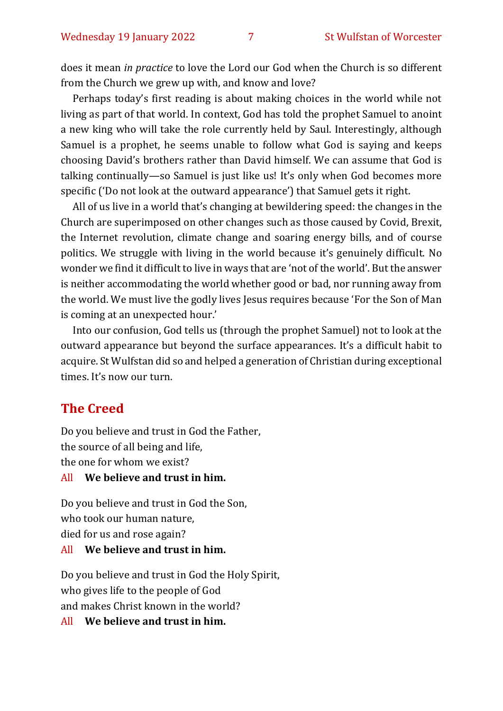does it mean *in practice* to love the Lord our God when the Church is so different from the Church we grew up with, and know and love?

Perhaps today's first reading is about making choices in the world while not living as part of that world. In context, God has told the prophet Samuel to anoint a new king who will take the role currently held by Saul. Interestingly, although Samuel is a prophet, he seems unable to follow what God is saying and keeps choosing David's brothers rather than David himself. We can assume that God is talking continually—so Samuel is just like us! It's only when God becomes more specific ('Do not look at the outward appearance') that Samuel gets it right.

All of us live in a world that's changing at bewildering speed: the changes in the Church are superimposed on other changes such as those caused by Covid, Brexit, the Internet revolution, climate change and soaring energy bills, and of course politics. We struggle with living in the world because it's genuinely difficult. No wonder we find it difficult to live in ways that are 'not of the world'. But the answer is neither accommodating the world whether good or bad, nor running away from the world. We must live the godly lives Jesus requires because 'For the Son of Man is coming at an unexpected hour.'

Into our confusion, God tells us (through the prophet Samuel) not to look at the outward appearance but beyond the surface appearances. It's a difficult habit to acquire. St Wulfstan did so and helped a generation of Christian during exceptional times. It's now our turn.

#### **The Creed**

Do you believe and trust in God the Father, the source of all being and life, the one for whom we exist? All **We believe and trust in him.**

Do you believe and trust in God the Son, who took our human nature, died for us and rose again?

#### All **We believe and trust in him.**

Do you believe and trust in God the Holy Spirit, who gives life to the people of God and makes Christ known in the world? All **We believe and trust in him.**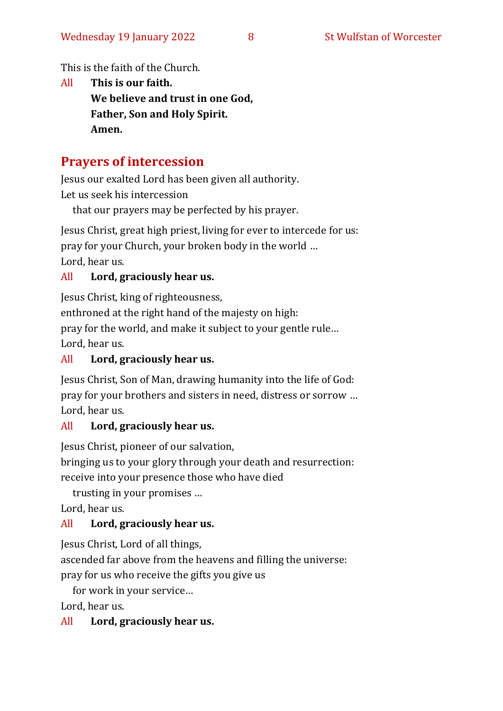This is the faith of the Church.

All **This is our faith. We believe and trust in one God, Father, Son and Holy Spirit. Amen.**

#### **Prayers of intercession**

Jesus our exalted Lord has been given all authority. Let us seek his intercession

that our prayers may be perfected by his prayer.

Jesus Christ, great high priest, living for ever to intercede for us: pray for your Church, your broken body in the world …

Lord, hear us.

#### All **Lord, graciously hear us.**

Jesus Christ, king of righteousness, enthroned at the right hand of the majesty on high: pray for the world, and make it subject to your gentle rule… Lord, hear us.

#### All **Lord, graciously hear us.**

Jesus Christ, Son of Man, drawing humanity into the life of God: pray for your brothers and sisters in need, distress or sorrow … Lord, hear us.

#### All **Lord, graciously hear us.**

Jesus Christ, pioneer of our salvation,

bringing us to your glory through your death and resurrection:

receive into your presence those who have died

trusting in your promises …

Lord, hear us.

#### All **Lord, graciously hear us.**

Jesus Christ, Lord of all things,

ascended far above from the heavens and filling the universe: pray for us who receive the gifts you give us

for work in your service…

Lord, hear us.

#### All **Lord, graciously hear us.**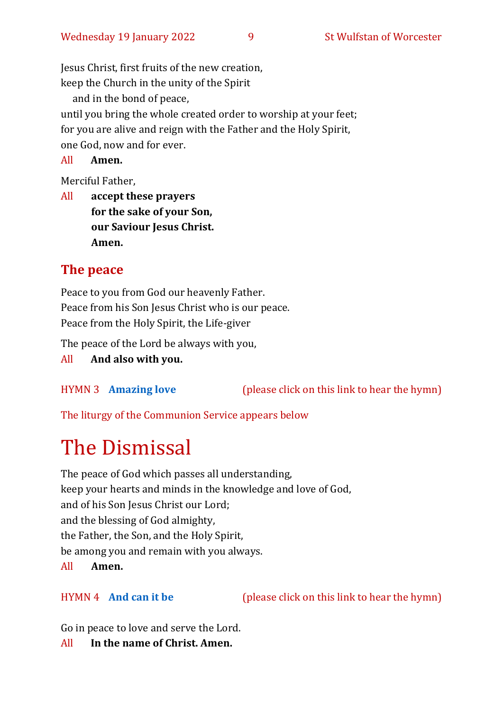Jesus Christ, first fruits of the new creation,

keep the Church in the unity of the Spirit

and in the bond of peace, until you bring the whole created order to worship at your feet; for you are alive and reign with the Father and the Holy Spirit, one God, now and for ever.

#### All **Amen.**

Merciful Father,

All **accept these prayers for the sake of your Son, our Saviour Jesus Christ. Amen.**

#### **The peace**

Peace to you from God our heavenly Father. Peace from his Son Jesus Christ who is our peace. Peace from the Holy Spirit, the Life-giver

The peace of the Lord be always with you,

All **And also with you.**

HYMN 3 **[Amazing love](https://www.youtube.com/watch?v=ItR0E1lg7lY)** (please click on this link to hear the hymn)

The liturgy of the Communion Service appears below

# The Dismissal

The peace of God which passes all understanding, keep your hearts and minds in the knowledge and love of God, and of his Son Jesus Christ our Lord; and the blessing of God almighty, the Father, the Son, and the Holy Spirit, be among you and remain with you always.

All **Amen.**

HYMN 4 **[And can it be](https://www.youtube.com/watch?v=uzDes9IVdzg)** (please click on this link to hear the hymn)

Go in peace to love and serve the Lord.

All **In the name of Christ. Amen.**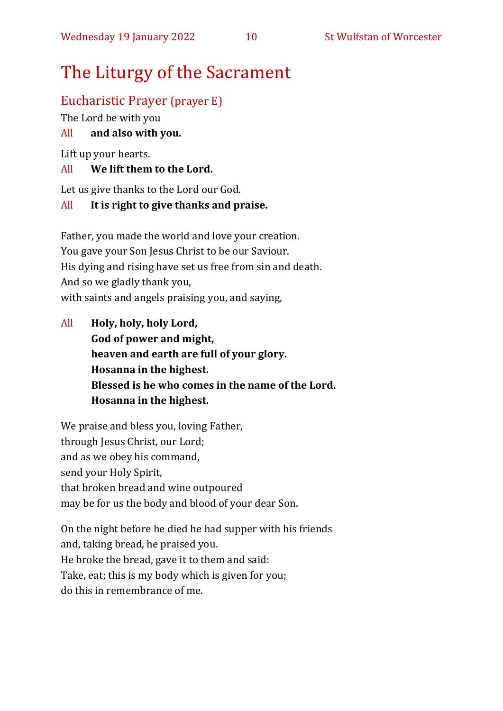## The Liturgy of the Sacrament

#### Eucharistic Prayer (prayer E)

The Lord be with you

#### All **and also with you.**

Lift up your hearts.

#### All **We lift them to the Lord.**

Let us give thanks to the Lord our God.

#### All **It is right to give thanks and praise.**

Father, you made the world and love your creation. You gave your Son Jesus Christ to be our Saviour. His dying and rising have set us free from sin and death. And so we gladly thank you, with saints and angels praising you, and saying,

All **Holy, holy, holy Lord, God of power and might, heaven and earth are full of your glory. Hosanna in the highest. Blessed is he who comes in the name of the Lord. Hosanna in the highest.**

We praise and bless you, loving Father, through Jesus Christ, our Lord; and as we obey his command, send your Holy Spirit, that broken bread and wine outpoured may be for us the body and blood of your dear Son.

On the night before he died he had supper with his friends and, taking bread, he praised you. He broke the bread, gave it to them and said: Take, eat; this is my body which is given for you; do this in remembrance of me.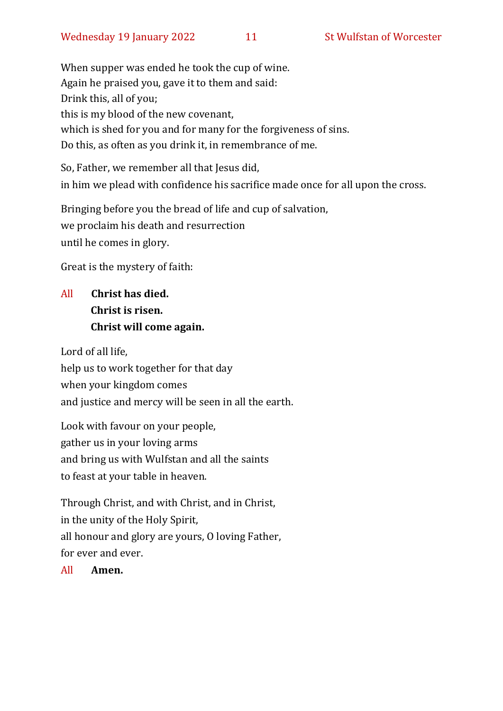When supper was ended he took the cup of wine. Again he praised you, gave it to them and said: Drink this, all of you; this is my blood of the new covenant, which is shed for you and for many for the forgiveness of sins. Do this, as often as you drink it, in remembrance of me.

So, Father, we remember all that Jesus did, in him we plead with confidence his sacrifice made once for all upon the cross.

Bringing before you the bread of life and cup of salvation, we proclaim his death and resurrection until he comes in glory.

Great is the mystery of faith:

#### All **Christ has died. Christ is risen. Christ will come again.**

Lord of all life, help us to work together for that day when your kingdom comes and justice and mercy will be seen in all the earth.

Look with favour on your people, gather us in your loving arms and bring us with Wulfstan and all the saints to feast at your table in heaven.

Through Christ, and with Christ, and in Christ, in the unity of the Holy Spirit, all honour and glory are yours, O loving Father, for ever and ever.

All **Amen.**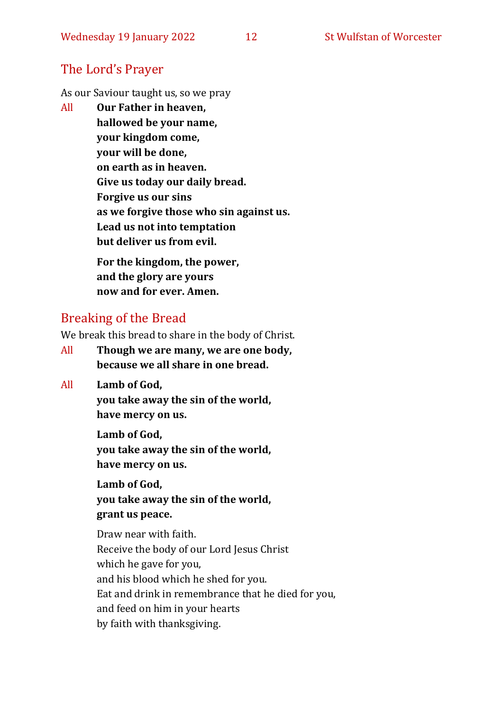#### The Lord's Prayer

As our Saviour taught us, so we pray

All **Our Father in heaven, hallowed be your name, your kingdom come, your will be done, on earth as in heaven. Give us today our daily bread. Forgive us our sins as we forgive those who sin against us. Lead us not into temptation but deliver us from evil. For the kingdom, the power,** 

**and the glory are yours now and for ever. Amen.**

#### Breaking of the Bread

We break this bread to share in the body of Christ.

- All **Though we are many, we are one body, because we all share in one bread.**
- All **Lamb of God,**

**you take away the sin of the world, have mercy on us.**

**Lamb of God, you take away the sin of the world, have mercy on us.**

**Lamb of God, you take away the sin of the world, grant us peace.**

Draw near with faith. Receive the body of our Lord Jesus Christ which he gave for you, and his blood which he shed for you. Eat and drink in remembrance that he died for you, and feed on him in your hearts by faith with thanksgiving.